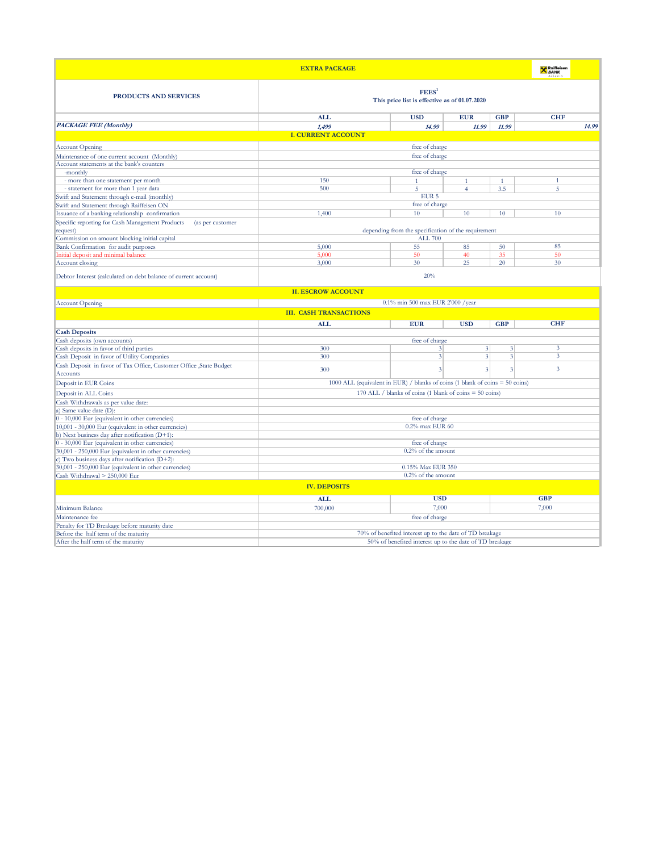|                                                                     | <b>EXTRA PACKAGE</b>                                                           |                                                     |                |                             | <b>X</b> Raiffeisen     |       |
|---------------------------------------------------------------------|--------------------------------------------------------------------------------|-----------------------------------------------------|----------------|-----------------------------|-------------------------|-------|
| <b>PRODUCTS AND SERVICES</b>                                        | FEES <sup>1</sup><br>This price list is effective as of 01.07.2020             |                                                     |                |                             |                         |       |
|                                                                     | <b>ALL</b>                                                                     | <b>USD</b>                                          | <b>EUR</b>     | <b>GBP</b>                  | <b>CHF</b>              |       |
| <b>PACKAGE FEE (Monthly)</b>                                        | 1,499                                                                          | 14.99                                               | 11.99          | 11.99                       |                         | 14.99 |
|                                                                     | <b>I. CURRENT ACCOUNT</b>                                                      |                                                     |                |                             |                         |       |
| <b>Account Opening</b>                                              |                                                                                | free of charge                                      |                |                             |                         |       |
| Maintenance of one current account (Monthly)                        |                                                                                | free of charge                                      |                |                             |                         |       |
| Account statements at the bank's counters                           |                                                                                |                                                     |                |                             |                         |       |
| -monthly                                                            |                                                                                | free of charge                                      |                |                             |                         |       |
| - more than one statement per month                                 | 150                                                                            | $\mathbf{1}$                                        | $\mathbf{1}$   | 1                           | $\mathbf{1}$            |       |
| - statement for more than 1 year data                               | 500                                                                            | 5                                                   | $\overline{4}$ | 3.5                         | 5                       |       |
| Swift and Statement through e-mail (monthly)                        |                                                                                | EUR <sub>5</sub>                                    |                |                             |                         |       |
| Swift and Statement through Raiffeisen ON                           |                                                                                | free of charge                                      |                |                             |                         |       |
| Issuance of a banking relationship confirmation                     | 1,400                                                                          | 10                                                  | 10             | 10                          | 10                      |       |
| Specific reporting for Cash Management Products<br>(as per customer |                                                                                |                                                     |                |                             |                         |       |
| request)                                                            |                                                                                | depending from the specification of the requirement |                |                             |                         |       |
| Commission on amount blocking initial capital                       |                                                                                | <b>ALL 700</b>                                      |                |                             |                         |       |
| Bank Confirmation for audit purposes                                | 5,000                                                                          | 55                                                  | 85             | 50                          | 85                      |       |
| Initial deposit and minimal balance                                 | 5,000                                                                          | 50                                                  | 40             | 35                          | 50                      |       |
| Account closing                                                     | 3,000                                                                          | 30                                                  | 25             | 20                          | 30                      |       |
|                                                                     |                                                                                |                                                     |                |                             |                         |       |
| Debtor Interest (calculated on debt balance of current account)     | 20%                                                                            |                                                     |                |                             |                         |       |
|                                                                     | <b>II. ESCROW ACCOUNT</b>                                                      |                                                     |                |                             |                         |       |
| <b>Account Opening</b>                                              |                                                                                | 0.1% min 500 max EUR 2'000 /year                    |                |                             |                         |       |
|                                                                     | <b>III. CASH TRANSACTIONS</b>                                                  |                                                     |                |                             |                         |       |
|                                                                     |                                                                                |                                                     |                |                             |                         |       |
|                                                                     | <b>ALL</b>                                                                     | <b>EUR</b>                                          | <b>USD</b>     | <b>GBP</b>                  | <b>CHF</b>              |       |
| <b>Cash Deposits</b>                                                |                                                                                |                                                     |                |                             |                         |       |
| Cash deposits (own accounts)                                        |                                                                                | free of charge                                      |                |                             |                         |       |
| Cash deposits in favor of third parties                             | 300                                                                            | $\overline{3}$                                      | 3 <sup>1</sup> | 3                           | 3                       |       |
| Cash Deposit in favor of Utility Companies                          | 300                                                                            | $\vert 3 \vert$                                     | 3 <sup>1</sup> | $\ensuremath{\mathfrak{Z}}$ | $\overline{\mathbf{3}}$ |       |
| Cash Deposit in favor of Tax Office, Customer Office, State Budget  | 300                                                                            | 3                                                   | 3              | 3                           | 3                       |       |
| Accounts                                                            |                                                                                |                                                     |                |                             |                         |       |
| Deposit in EUR Coins                                                | 1000 ALL (equivalent in EUR) / blanks of coins (1 blank of coins $=$ 50 coins) |                                                     |                |                             |                         |       |
| Deposit in ALL Coins                                                | 170 ALL / blanks of coins (1 blank of coins = 50 coins)                        |                                                     |                |                             |                         |       |
| Cash Withdrawals as per value date:                                 |                                                                                |                                                     |                |                             |                         |       |
| a) Same value date (D):                                             |                                                                                |                                                     |                |                             |                         |       |
| $0 - 10,000$ Eur (equivalent in other currencies)                   |                                                                                | free of charge                                      |                |                             |                         |       |
| 10,001 - 30,000 Eur (equivalent in other currencies)                | 0.2% max EUR 60                                                                |                                                     |                |                             |                         |       |
| b) Next business day after notification (D+1):                      |                                                                                |                                                     |                |                             |                         |       |
| $0 - 30,000$ Eur (equivalent in other currencies)                   | free of charge                                                                 |                                                     |                |                             |                         |       |
| 30,001 - 250,000 Eur (equivalent in other currencies)               | $0.2\%$ of the amount                                                          |                                                     |                |                             |                         |       |
| c) Two business days after notification (D+2):                      |                                                                                |                                                     |                |                             |                         |       |
| 30,001 - 250,000 Eur (equivalent in other currencies)               |                                                                                | 0.15% Max EUR 350                                   |                |                             |                         |       |
| Cash Withdrawal > 250,000 Eur                                       | $0.2\%$ of the amount                                                          |                                                     |                |                             |                         |       |
| <b>IV. DEPOSITS</b>                                                 |                                                                                |                                                     |                |                             |                         |       |
|                                                                     |                                                                                |                                                     |                |                             |                         |       |
|                                                                     | <b>ALL</b>                                                                     | <b>USD</b>                                          |                |                             | <b>GBP</b>              |       |
| Minimum Balance                                                     | 700,000                                                                        | 7,000                                               |                |                             | 7,000                   |       |
| Maintenance fee                                                     |                                                                                | free of charge                                      |                |                             |                         |       |
| Penalty for TD Breakage before maturity date                        |                                                                                |                                                     |                |                             |                         |       |
| Before the half term of the maturity                                | 70% of benefited interest up to the date of TD breakage                        |                                                     |                |                             |                         |       |
| After the half term of the maturity                                 | 50% of benefited interest up to the date of TD breakage                        |                                                     |                |                             |                         |       |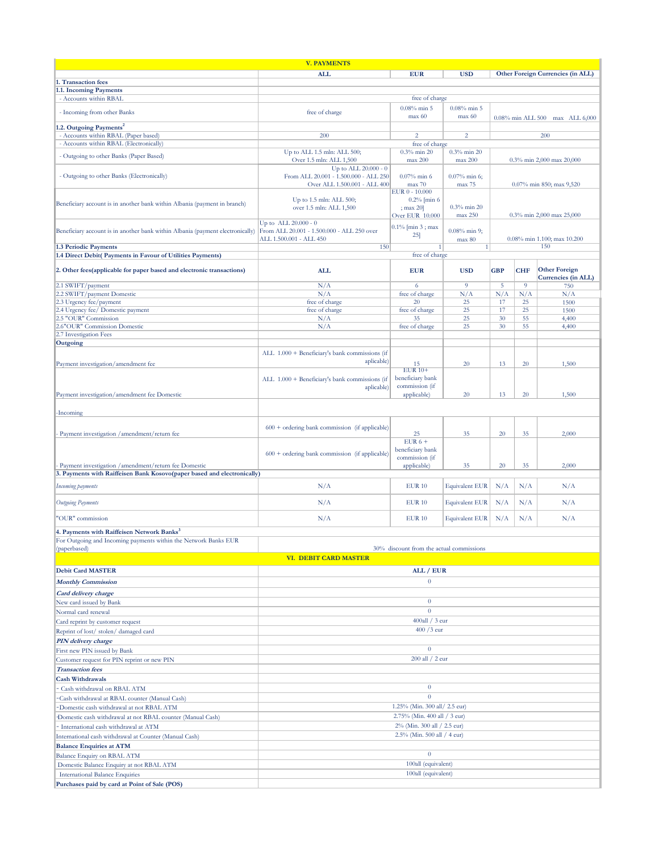| <b>V. PAYMENTS</b>                                                             |                                                                      |                                          |                           |            |            |                                             |
|--------------------------------------------------------------------------------|----------------------------------------------------------------------|------------------------------------------|---------------------------|------------|------------|---------------------------------------------|
|                                                                                | <b>ALL</b>                                                           | <b>EUR</b>                               | <b>USD</b>                |            |            | Other Foreign Currencies (in ALL)           |
| 1. Transaction fees                                                            |                                                                      |                                          |                           |            |            |                                             |
| 1.1. Incoming Payments                                                         |                                                                      | free of charge                           |                           |            |            |                                             |
| - Accounts within RBAL                                                         |                                                                      |                                          |                           |            |            |                                             |
| - Incoming from other Banks                                                    | free of charge                                                       | $0.08\%$ min 5<br>max 60                 | $0.08\%$ min 5<br>max 60  |            |            |                                             |
|                                                                                |                                                                      |                                          |                           |            |            | 0.08% min ALL 500 max ALL 6,000             |
| 1.2. Outgoing Payments <sup>2</sup><br>- Accounts within RBAL (Paper based)    | 200                                                                  | $\overline{2}$                           | $\overline{2}$            |            |            | 200                                         |
| - Accounts within RBAL (Electronically)                                        |                                                                      | free of charge                           |                           |            |            |                                             |
|                                                                                | Up to ALL 1.5 mln: ALL 500;                                          | $0.3\%$ min 20                           | $0.3\%$ min 20            |            |            |                                             |
| - Outgoing to other Banks (Paper Based)                                        | Over 1.5 mln: ALL 1,500                                              | max 200                                  | max 200                   |            |            | 0.3% min 2,000 max 20,000                   |
|                                                                                | Up to ALL 20.000 - 0                                                 |                                          |                           |            |            |                                             |
| - Outgoing to other Banks (Electronically)                                     | From ALL 20.001 - 1.500.000 - ALL 250                                | $0.07\%$ min 6                           | $0.07\%$ min 6;           |            |            |                                             |
|                                                                                | Over ALL 1.500.001 - ALL 400                                         | max 70<br>EUR 0 - 10.000                 | max 75                    |            |            | 0.07% min 850; max 9,520                    |
|                                                                                | Up to 1.5 mln: ALL 500;                                              | $0.2%$ [min 6                            |                           |            |            |                                             |
| Beneficiary account is in another bank within Albania (payment in branch)      | over 1.5 mln: ALL 1,500                                              | ; max 20]                                | $0.3\%$ min 20            |            |            |                                             |
|                                                                                |                                                                      | Over EUR 10.000                          | max 250                   |            |            | 0.3% min 2,000 max 25,000                   |
|                                                                                | Up to ALL $20.000 - 0$<br>From ALL 20.001 - 1.500.000 - ALL 250 over | $0.1\%$ [min 3; max                      |                           |            |            |                                             |
| Beneficiary account is in another bank within Albania (payment electronically) | ALL 1.500.001 - ALL 450                                              | 25                                       | $0.08\%$ min 9;<br>max 80 |            |            | 0.08% min 1.100; max 10.200                 |
| 1.3 Periodic Payments                                                          | 150                                                                  | $\mathbf{1}$                             | 1                         |            |            | 150                                         |
| 1.4 Direct Debit( Payments in Favour of Utilities Payments)                    |                                                                      | free of charge                           |                           |            |            |                                             |
|                                                                                |                                                                      |                                          |                           |            |            |                                             |
| 2. Other fees(applicable for paper based and electronic transactions)          | <b>ALL</b>                                                           | <b>EUR</b>                               | <b>USD</b>                | <b>GBP</b> | <b>CHF</b> | <b>Other Foreign</b><br>Currencies (in ALL) |
| 2.1 SWIFT/payment                                                              | N/A                                                                  | 6                                        | 9                         | 5          | 9          | 750                                         |
| 2.2 SWIFT/payment Domestic                                                     | N/A                                                                  | free of charge                           | N/A                       | N/A        | N/A        | N/A                                         |
| 2.3 Urgency fee/payment                                                        | free of charge                                                       | 20                                       | 25                        | 17         | 25         | 1500                                        |
| 2.4 Urgency fee/ Domestic payment                                              | free of charge                                                       | free of charge                           | 25                        | 17         | 25         | 1500                                        |
| 2.5 "OUR" Commission                                                           | N/A                                                                  | 35                                       | 25                        | 30         | 55         | 4,400                                       |
| 2.6"OUR" Commission Domestic<br>2.7 Investigation Fees                         | N/A                                                                  | free of charge                           | 25                        | 30         | 55         | 4,400                                       |
| Outgoing                                                                       |                                                                      |                                          |                           |            |            |                                             |
|                                                                                | ALL 1.000 + Beneficiary's bank commissions (if                       |                                          |                           |            |            |                                             |
|                                                                                | aplicable)                                                           |                                          |                           |            |            |                                             |
| Payment investigation/amendment fee                                            |                                                                      | 15<br><b>EUR 10+</b>                     | 20                        | 13         | 20         | 1,500                                       |
|                                                                                | ALL 1.000 + Beneficiary's bank commissions (if                       | beneficiary bank                         |                           |            |            |                                             |
|                                                                                | aplicable)                                                           | commission (if                           |                           |            |            |                                             |
| Payment investigation/amendment fee Domestic                                   |                                                                      | applicable)                              | 20                        | 13         | 20         | 1,500                                       |
|                                                                                |                                                                      |                                          |                           |            |            |                                             |
| Incoming                                                                       |                                                                      |                                          |                           |            |            |                                             |
|                                                                                | $600 +$ ordering bank commission (if applicable)                     |                                          |                           |            |            |                                             |
| Payment investigation /amendment/return fee                                    |                                                                      | 25                                       | 35                        | 20         | 35         | 2,000                                       |
|                                                                                |                                                                      | EUR $6 +$                                |                           |            |            |                                             |
|                                                                                | $600 +$ ordering bank commission (if applicable)                     | beneficiary bank<br>commission (if       |                           |            |            |                                             |
| Payment investigation / amendment/return fee Domestic                          |                                                                      | applicable)                              | 35                        | 20         | 35         | 2,000                                       |
| 3. Payments with Raiffeisen Bank Kosovo(paper based and electronically)        |                                                                      |                                          |                           |            |            |                                             |
| Incoming payments                                                              | N/A                                                                  | <b>EUR 10</b>                            | <b>Equivalent EUR</b>     | N/A        | N/A        | N/A                                         |
|                                                                                |                                                                      |                                          |                           |            |            |                                             |
| <b>Outgoing Payments</b>                                                       | N/A                                                                  | <b>EUR 10</b>                            | <b>Equivalent EUR</b>     | N/A        | N/A        | N/A                                         |
|                                                                                |                                                                      |                                          |                           |            |            |                                             |
| "OUR" commission                                                               | N/A                                                                  | <b>EUR 10</b>                            | <b>Equivalent EUR</b>     | N/A        | N/A        | N/A                                         |
| 4. Payments with Raiffeisen Network Banks <sup>3</sup>                         |                                                                      |                                          |                           |            |            |                                             |
| For Outgoing and Incoming payments within the Network Banks EUR                |                                                                      |                                          |                           |            |            |                                             |
| (paperbased)                                                                   |                                                                      | 30% discount from the actual commissions |                           |            |            |                                             |
|                                                                                | <b>VI. DEBIT CARD MASTER</b>                                         |                                          |                           |            |            |                                             |
| <b>Debit Card MASTER</b>                                                       |                                                                      | ALL / EUR                                |                           |            |            |                                             |
| <b>Monthly Commission</b>                                                      |                                                                      | $\boldsymbol{0}$                         |                           |            |            |                                             |
| Card delivery charge                                                           |                                                                      |                                          |                           |            |            |                                             |
| New card issued by Bank                                                        |                                                                      | $\boldsymbol{0}$                         |                           |            |            |                                             |
| Normal card renewal                                                            |                                                                      | $\boldsymbol{0}$                         |                           |            |            |                                             |
| Card reprint by customer request                                               |                                                                      | 400all / 3 eur                           |                           |            |            |                                             |
| Reprint of lost/stolen/damaged card                                            |                                                                      | 400 /3 eur                               |                           |            |            |                                             |
| <b>PIN</b> delivery charge                                                     |                                                                      |                                          |                           |            |            |                                             |
| First new PIN issued by Bank                                                   |                                                                      | $\mathbf{0}$                             |                           |            |            |                                             |
| Customer request for PIN reprint or new PIN                                    | 200 all / 2 eur                                                      |                                          |                           |            |            |                                             |
| <b>Transaction</b> fees                                                        |                                                                      |                                          |                           |            |            |                                             |
| <b>Cash Withdrawals</b>                                                        |                                                                      |                                          |                           |            |            |                                             |
| Cash withdrawal on RBAL ATM                                                    |                                                                      | $\mathbf{0}$                             |                           |            |            |                                             |
| Cash withdrawal at RBAL counter (Manual Cash)                                  |                                                                      | $\overline{0}$                           |                           |            |            |                                             |
| Domestic cash withdrawal at not RBAL ATM                                       | 1.25% (Min. 300 all/ 2.5 eur)                                        |                                          |                           |            |            |                                             |
| Domestic cash withdrawal at not RBAL counter (Manual Cash)                     | 2.75% (Min. 400 all / 3 eur)                                         |                                          |                           |            |            |                                             |
| International cash withdrawal at ATM                                           | 2% (Min. 300 all / 2.5 eur)                                          |                                          |                           |            |            |                                             |
| International cash withdrawal at Counter (Manual Cash)                         | 2.5% (Min. 500 all / 4 cur)                                          |                                          |                           |            |            |                                             |
| <b>Balance Enquiries at ATM</b>                                                |                                                                      |                                          |                           |            |            |                                             |
| Balance Enquiry on RBAL ATM                                                    | $\mathbf{0}$                                                         |                                          |                           |            |            |                                             |
| Domestic Balance Enquiry at not RBAL ATM                                       | 100all (equivalent)                                                  |                                          |                           |            |            |                                             |
| <b>International Balance Enquiries</b>                                         | 100all (equivalent)                                                  |                                          |                           |            |            |                                             |
| Purchases paid by card at Point of Sale (POS)                                  |                                                                      |                                          |                           |            |            |                                             |
|                                                                                |                                                                      |                                          |                           |            |            |                                             |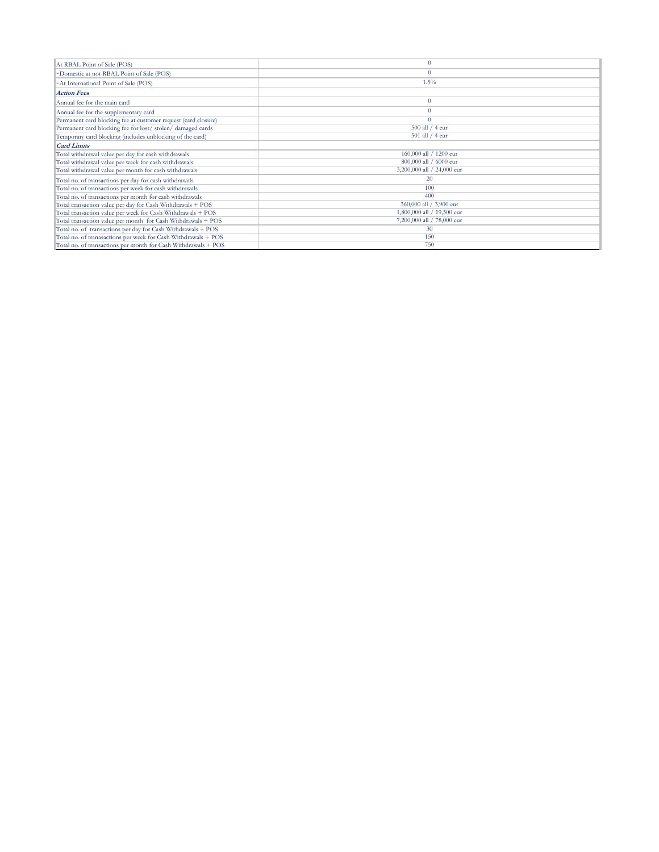| At RBAL Point of Sale (POS)                                    |                            |
|----------------------------------------------------------------|----------------------------|
| -Domestic at not RBAL Point of Sale (POS)                      | $\theta$                   |
| -At International Point of Sale (POS)                          | 1.5%                       |
| <b>Action Fees</b>                                             |                            |
| Annual fee for the main card                                   | $\theta$                   |
| Annual fee for the supplementary card                          | $\theta$                   |
| Permanent card blocking fee at customer request (card closure) | $\theta$                   |
| Permanent card blocking fee for lost/stolen/damaged cards      | 500 all / 4 eur            |
| Temporary card blocking (includes unblocking of the card)      | $501$ all $/$ 4 eur        |
| <b>Card Limits</b>                                             |                            |
| Total withdrawal value per day for cash withdrawals            | 160,000 all / 1200 eur     |
| Total withdrawal value per week for cash withdrawals           | 800,000 all / 6000 eur     |
| Total withdrawal value per month for cash withdrawals          | 3,200,000 all / 24,000 eur |
| Total no. of transactions per day for cash withdrawals         | 20                         |
| Total no. of transactions per week for cash withdrawals        | 100                        |
| Total no. of transactions per month for cash withdrawals       | 400                        |
| Total transaction value per day for Cash Withdrawals + POS     | 360,000 all / 3,900 eur    |
| Total transaction value per week for Cash Withdrawals + POS    | 1,800,000 all / 19,500 eur |
| Total transaction value per month for Cash Withdrawals + POS   | 7,200,000 all / 78,000 eur |
| Total no. of transactions per day for Cash Withdrawals + POS   | 30                         |
| Total no. of tranasactions per week for Cash Withdrawals + POS | 150                        |
| Total no. of transactions per month for Cash Withdrawals + POS | 750                        |